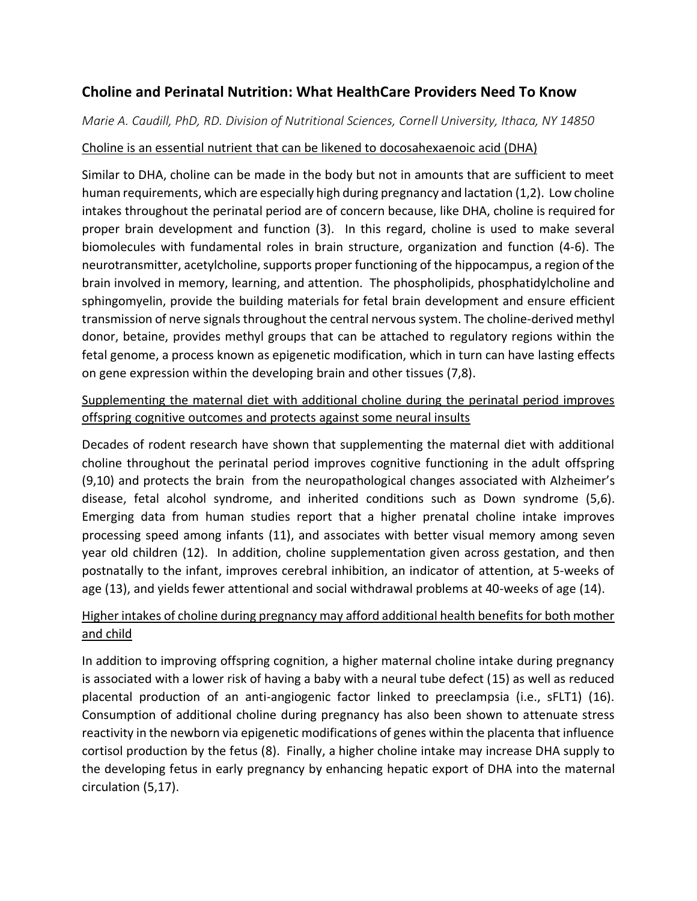# **Choline and Perinatal Nutrition: What HealthCare Providers Need To Know**

*Marie A. Caudill, PhD, RD. Division of Nutritional Sciences, Cornell University, Ithaca, NY 14850*

#### Choline is an essential nutrient that can be likened to docosahexaenoic acid (DHA)

Similar to DHA, choline can be made in the body but not in amounts that are sufficient to meet human requirements, which are especially high during pregnancy and lactation (1,2). Low choline intakes throughout the perinatal period are of concern because, like DHA, choline is required for proper brain development and function (3). In this regard, choline is used to make several biomolecules with fundamental roles in brain structure, organization and function (4-6). The neurotransmitter, acetylcholine, supports proper functioning of the hippocampus, a region of the brain involved in memory, learning, and attention. The phospholipids, phosphatidylcholine and sphingomyelin, provide the building materials for fetal brain development and ensure efficient transmission of nerve signals throughout the central nervous system. The choline-derived methyl donor, betaine, provides methyl groups that can be attached to regulatory regions within the fetal genome, a process known as epigenetic modification, which in turn can have lasting effects on gene expression within the developing brain and other tissues (7,8).

### Supplementing the maternal diet with additional choline during the perinatal period improves offspring cognitive outcomes and protects against some neural insults

Decades of rodent research have shown that supplementing the maternal diet with additional choline throughout the perinatal period improves cognitive functioning in the adult offspring (9,10) and protects the brain from the neuropathological changes associated with Alzheimer's disease, fetal alcohol syndrome, and inherited conditions such as Down syndrome (5,6). Emerging data from human studies report that a higher prenatal choline intake improves processing speed among infants (11), and associates with better visual memory among seven year old children (12). In addition, choline supplementation given across gestation, and then postnatally to the infant, improves cerebral inhibition, an indicator of attention, at 5-weeks of age (13), and yields fewer attentional and social withdrawal problems at 40-weeks of age (14).

## Higher intakes of choline during pregnancy may afford additional health benefits for both mother and child

In addition to improving offspring cognition, a higher maternal choline intake during pregnancy is associated with a lower risk of having a baby with a neural tube defect (15) as well as reduced placental production of an anti-angiogenic factor linked to preeclampsia (i.e., sFLT1) (16). Consumption of additional choline during pregnancy has also been shown to attenuate stress reactivity in the newborn via epigenetic modifications of genes within the placenta that influence cortisol production by the fetus (8). Finally, a higher choline intake may increase DHA supply to the developing fetus in early pregnancy by enhancing hepatic export of DHA into the maternal circulation (5,17).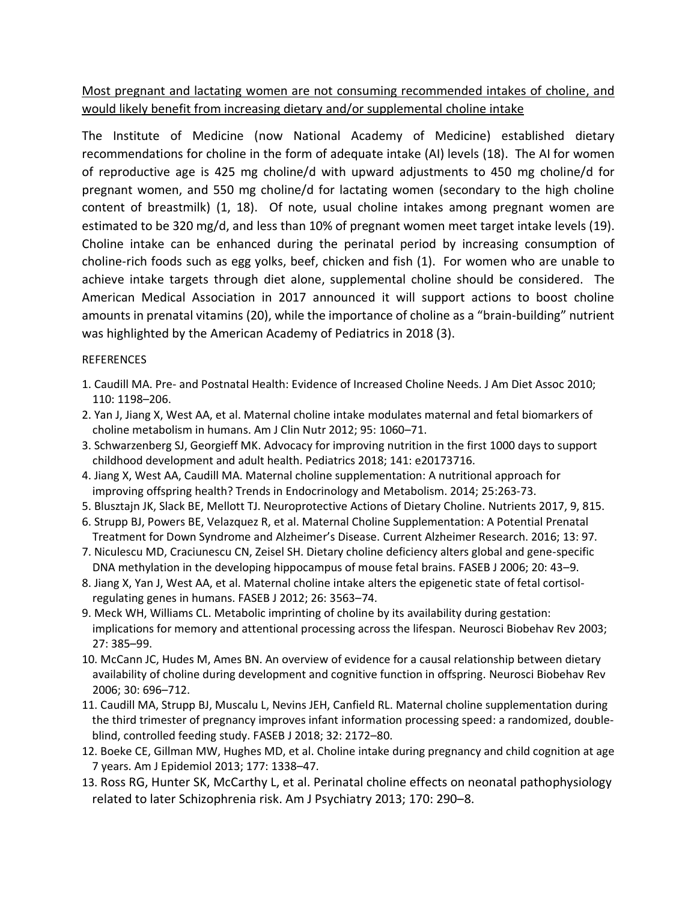Most pregnant and lactating women are not consuming recommended intakes of choline, and would likely benefit from increasing dietary and/or supplemental choline intake

The Institute of Medicine (now National Academy of Medicine) established dietary recommendations for choline in the form of adequate intake (AI) levels (18). The AI for women of reproductive age is 425 mg choline/d with upward adjustments to 450 mg choline/d for pregnant women, and 550 mg choline/d for lactating women (secondary to the high choline content of breastmilk) (1, 18). Of note, usual choline intakes among pregnant women are estimated to be 320 mg/d, and less than 10% of pregnant women meet target intake levels (19). Choline intake can be enhanced during the perinatal period by increasing consumption of choline-rich foods such as egg yolks, beef, chicken and fish (1). For women who are unable to achieve intake targets through diet alone, supplemental choline should be considered. The American Medical Association in 2017 announced it will support actions to boost choline amounts in prenatal vitamins (20), while the importance of choline as a "brain-building" nutrient was highlighted by the American Academy of Pediatrics in 2018 (3).

#### **REFERENCES**

- 1. Caudill MA. Pre- and Postnatal Health: Evidence of Increased Choline Needs. J Am Diet Assoc 2010; 110: 1198–206.
- 2. Yan J, Jiang X, West AA, et al. Maternal choline intake modulates maternal and fetal biomarkers of choline metabolism in humans. Am J Clin Nutr 2012; 95: 1060–71.
- 3. Schwarzenberg SJ, Georgieff MK. Advocacy for improving nutrition in the first 1000 days to support childhood development and adult health. Pediatrics 2018; 141: e20173716.
- 4. Jiang X, West AA, Caudill MA. Maternal choline supplementation: A nutritional approach for improving offspring health? Trends in Endocrinology and Metabolism. 2014; 25:263-73.
- 5. Blusztajn JK, Slack BE, Mellott TJ. Neuroprotective Actions of Dietary Choline. Nutrients 2017, 9, 815.
- 6. Strupp BJ, Powers BE, Velazquez R, et al. Maternal Choline Supplementation: A Potential Prenatal Treatment for Down Syndrome and Alzheimer's Disease. Current Alzheimer Research. 2016; 13: 97.
- 7. Niculescu MD, Craciunescu CN, Zeisel SH. Dietary choline deficiency alters global and gene-specific DNA methylation in the developing hippocampus of mouse fetal brains. FASEB J 2006; 20: 43–9.
- 8. Jiang X, Yan J, West AA, et al. Maternal choline intake alters the epigenetic state of fetal cortisolregulating genes in humans. FASEB J 2012; 26: 3563–74.
- 9. Meck WH, Williams CL. Metabolic imprinting of choline by its availability during gestation: implications for memory and attentional processing across the lifespan. Neurosci Biobehav Rev 2003; 27: 385–99.
- 10. McCann JC, Hudes M, Ames BN. An overview of evidence for a causal relationship between dietary availability of choline during development and cognitive function in offspring. Neurosci Biobehav Rev 2006; 30: 696–712.
- 11. Caudill MA, Strupp BJ, Muscalu L, Nevins JEH, Canfield RL. Maternal choline supplementation during the third trimester of pregnancy improves infant information processing speed: a randomized, doubleblind, controlled feeding study. FASEB J 2018; 32: 2172–80.
- 12. Boeke CE, Gillman MW, Hughes MD, et al. Choline intake during pregnancy and child cognition at age 7 years. Am J Epidemiol 2013; 177: 1338–47.
- 13. Ross RG, Hunter SK, McCarthy L, et al. Perinatal choline effects on neonatal pathophysiology related to later Schizophrenia risk. Am J Psychiatry 2013; 170: 290–8.